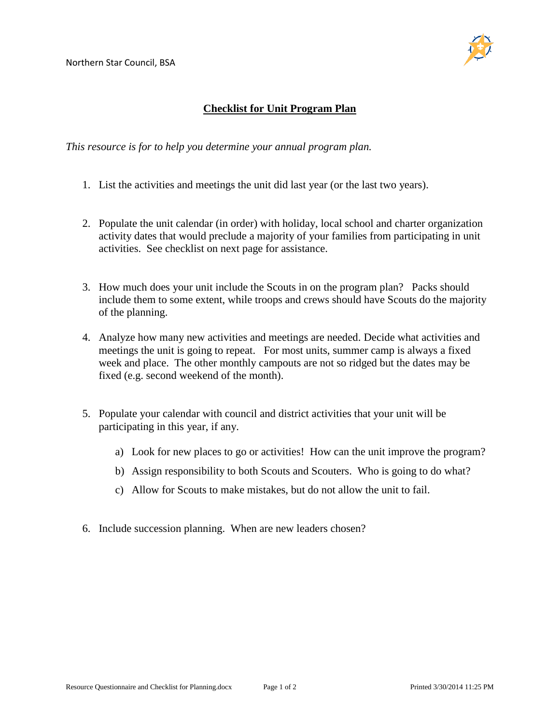

## **Checklist for Unit Program Plan**

*This resource is for to help you determine your annual program plan.* 

- 1. List the activities and meetings the unit did last year (or the last two years).
- 2. Populate the unit calendar (in order) with holiday, local school and charter organization activity dates that would preclude a majority of your families from participating in unit activities. See checklist on next page for assistance.
- 3. How much does your unit include the Scouts in on the program plan? Packs should include them to some extent, while troops and crews should have Scouts do the majority of the planning.
- 4. Analyze how many new activities and meetings are needed. Decide what activities and meetings the unit is going to repeat. For most units, summer camp is always a fixed week and place. The other monthly campouts are not so ridged but the dates may be fixed (e.g. second weekend of the month).
- 5. Populate your calendar with council and district activities that your unit will be participating in this year, if any.
	- a) Look for new places to go or activities! How can the unit improve the program?
	- b) Assign responsibility to both Scouts and Scouters. Who is going to do what?
	- c) Allow for Scouts to make mistakes, but do not allow the unit to fail.
- 6. Include succession planning. When are new leaders chosen?